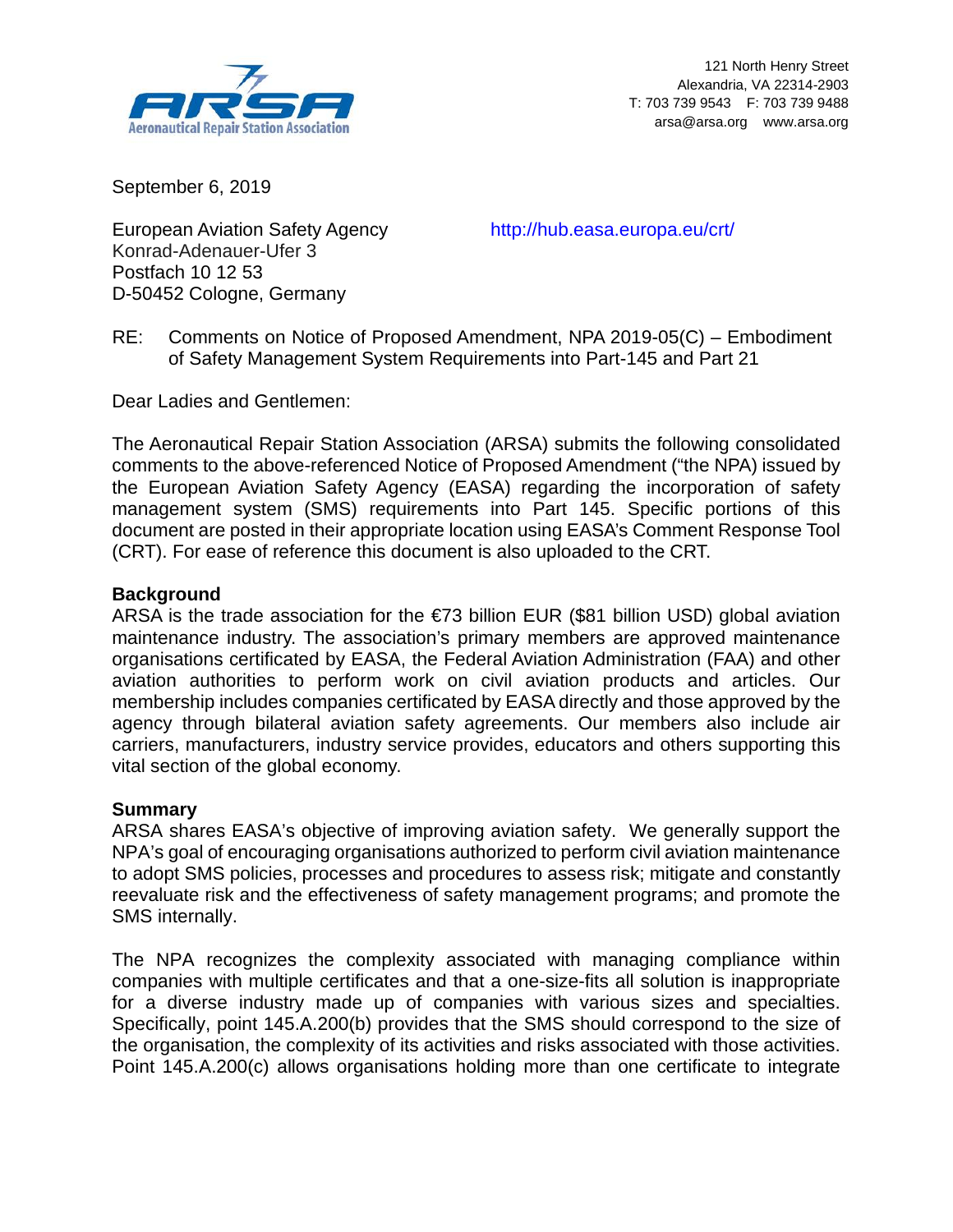

September 6, 2019

European Aviation Safety Agency Konrad-Adenauer-Ufer 3 Postfach 10 12 53 D-50452 Cologne, Germany

http://hub.easa.europa.eu/crt/

RE: Comments on Notice of Proposed Amendment, NPA 2019-05(C) – Embodiment of Safety Management System Requirements into Part-145 and Part 21

Dear Ladies and Gentlemen:

The Aeronautical Repair Station Association (ARSA) submits the following consolidated comments to the above-referenced Notice of Proposed Amendment ("the NPA) issued by the European Aviation Safety Agency (EASA) regarding the incorporation of safety management system (SMS) requirements into Part 145. Specific portions of this document are posted in their appropriate location using EASA's Comment Response Tool (CRT). For ease of reference this document is also uploaded to the CRT.

#### **Background**

ARSA is the trade association for the  $\epsilon$ 73 billion EUR (\$81 billion USD) global aviation maintenance industry. The association's primary members are approved maintenance organisations certificated by EASA, the Federal Aviation Administration (FAA) and other aviation authorities to perform work on civil aviation products and articles. Our membership includes companies certificated by EASA directly and those approved by the agency through bilateral aviation safety agreements. Our members also include air carriers, manufacturers, industry service provides, educators and others supporting this vital section of the global economy.

#### **Summary**

ARSA shares EASA's objective of improving aviation safety. We generally support the NPA's goal of encouraging organisations authorized to perform civil aviation maintenance to adopt SMS policies, processes and procedures to assess risk; mitigate and constantly reevaluate risk and the effectiveness of safety management programs; and promote the SMS internally.

The NPA recognizes the complexity associated with managing compliance within companies with multiple certificates and that a one-size-fits all solution is inappropriate for a diverse industry made up of companies with various sizes and specialties. Specifically, point 145.A.200(b) provides that the SMS should correspond to the size of the organisation, the complexity of its activities and risks associated with those activities. Point 145.A.200(c) allows organisations holding more than one certificate to integrate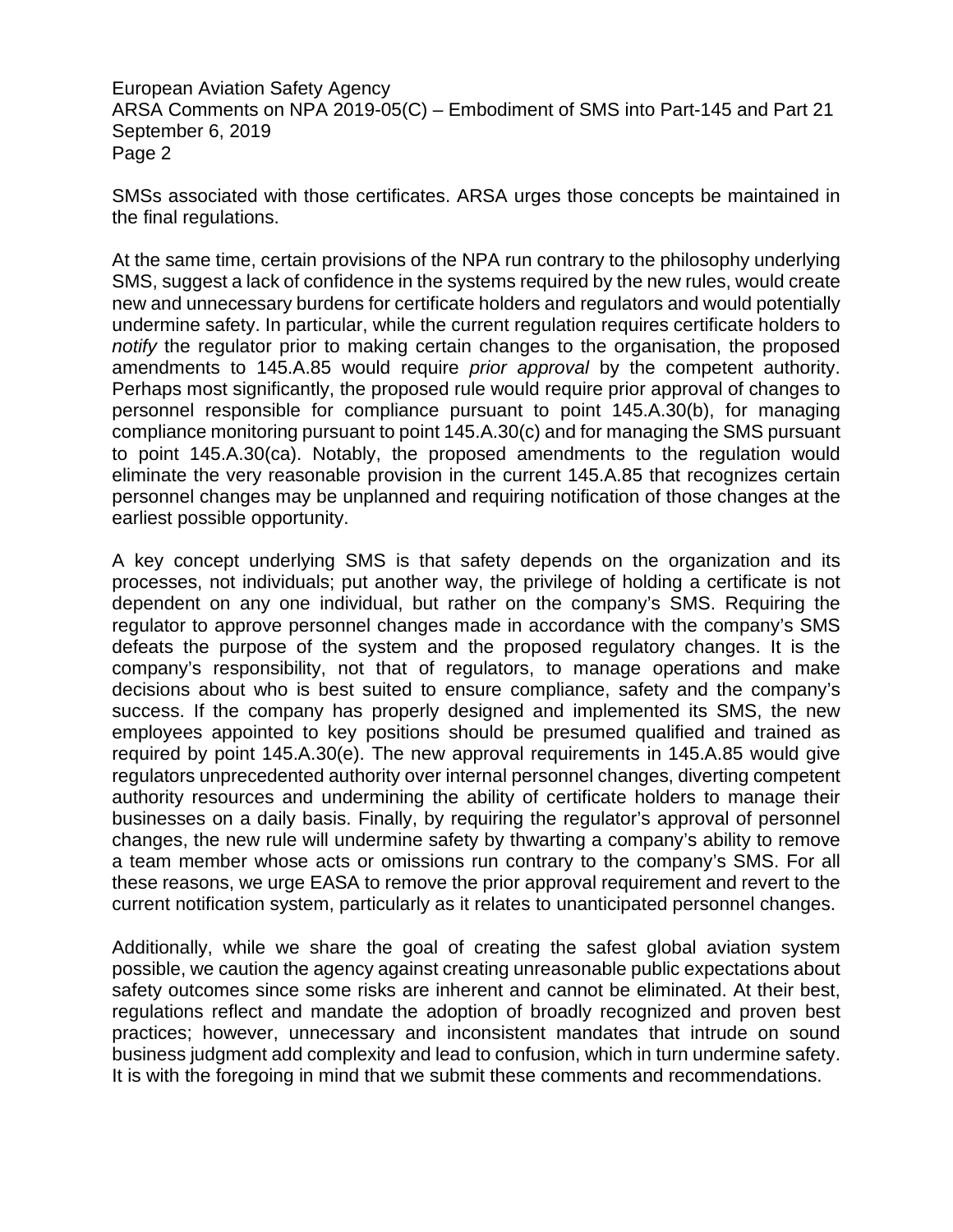SMSs associated with those certificates. ARSA urges those concepts be maintained in the final regulations.

At the same time, certain provisions of the NPA run contrary to the philosophy underlying SMS, suggest a lack of confidence in the systems required by the new rules, would create new and unnecessary burdens for certificate holders and regulators and would potentially undermine safety. In particular, while the current regulation requires certificate holders to *notify* the regulator prior to making certain changes to the organisation, the proposed amendments to 145.A.85 would require *prior approval* by the competent authority. Perhaps most significantly, the proposed rule would require prior approval of changes to personnel responsible for compliance pursuant to point 145.A.30(b), for managing compliance monitoring pursuant to point 145.A.30(c) and for managing the SMS pursuant to point 145.A.30(ca). Notably, the proposed amendments to the regulation would eliminate the very reasonable provision in the current 145.A.85 that recognizes certain personnel changes may be unplanned and requiring notification of those changes at the earliest possible opportunity.

A key concept underlying SMS is that safety depends on the organization and its processes, not individuals; put another way, the privilege of holding a certificate is not dependent on any one individual, but rather on the company's SMS. Requiring the regulator to approve personnel changes made in accordance with the company's SMS defeats the purpose of the system and the proposed regulatory changes. It is the company's responsibility, not that of regulators, to manage operations and make decisions about who is best suited to ensure compliance, safety and the company's success. If the company has properly designed and implemented its SMS, the new employees appointed to key positions should be presumed qualified and trained as required by point 145.A.30(e). The new approval requirements in 145.A.85 would give regulators unprecedented authority over internal personnel changes, diverting competent authority resources and undermining the ability of certificate holders to manage their businesses on a daily basis. Finally, by requiring the regulator's approval of personnel changes, the new rule will undermine safety by thwarting a company's ability to remove a team member whose acts or omissions run contrary to the company's SMS. For all these reasons, we urge EASA to remove the prior approval requirement and revert to the current notification system, particularly as it relates to unanticipated personnel changes.

Additionally, while we share the goal of creating the safest global aviation system possible, we caution the agency against creating unreasonable public expectations about safety outcomes since some risks are inherent and cannot be eliminated. At their best, regulations reflect and mandate the adoption of broadly recognized and proven best practices; however, unnecessary and inconsistent mandates that intrude on sound business judgment add complexity and lead to confusion, which in turn undermine safety. It is with the foregoing in mind that we submit these comments and recommendations.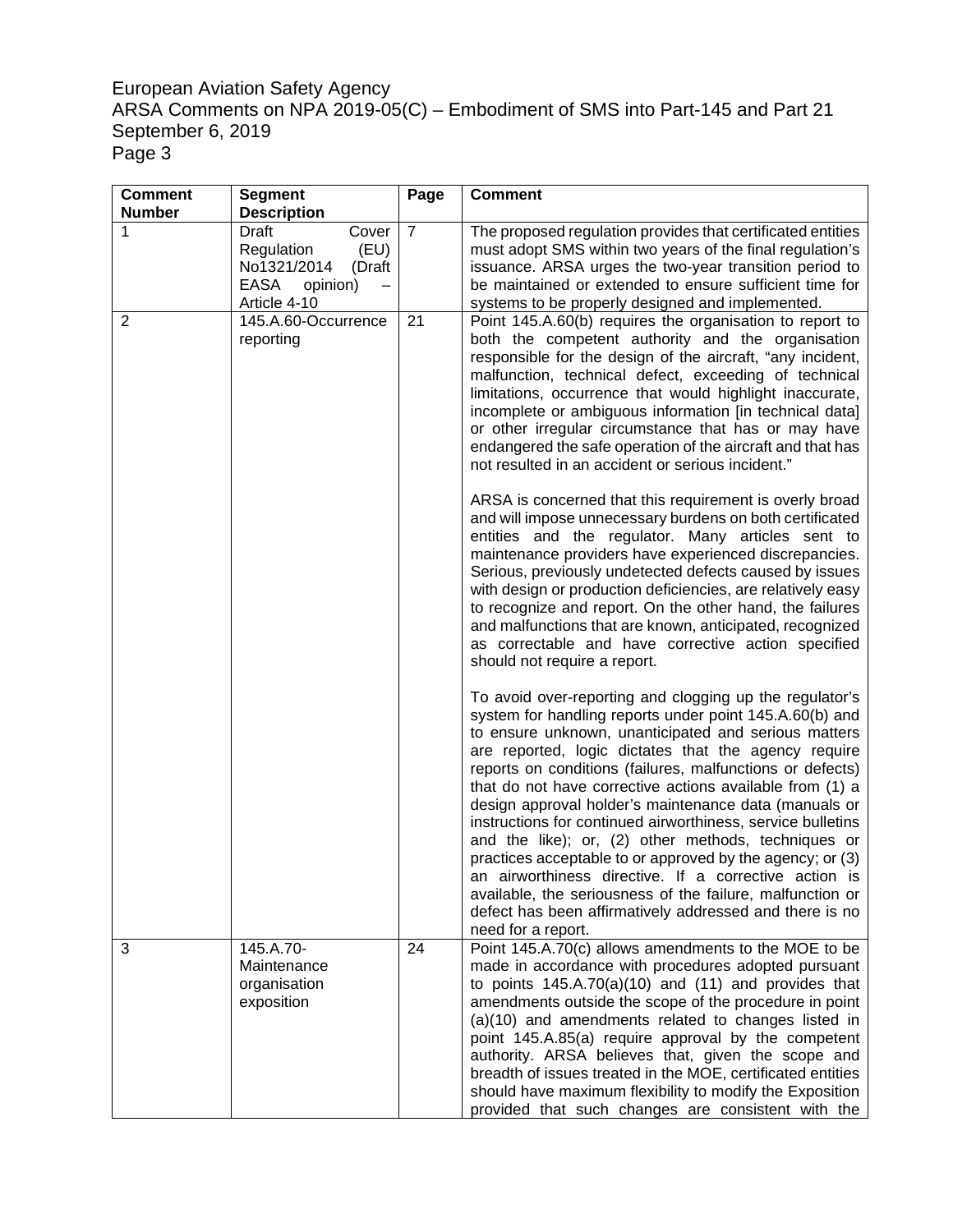| <b>Comment</b> | <b>Segment</b>                                                                                    | Page           | <b>Comment</b>                                                                                                                                                                                                                                                                                                                                                                                                                                                                                                                                                                                                                                                                                                                                                                                                                                                                                                                                                                                                                                                                                                                                                                                                                                                                                                                                             |
|----------------|---------------------------------------------------------------------------------------------------|----------------|------------------------------------------------------------------------------------------------------------------------------------------------------------------------------------------------------------------------------------------------------------------------------------------------------------------------------------------------------------------------------------------------------------------------------------------------------------------------------------------------------------------------------------------------------------------------------------------------------------------------------------------------------------------------------------------------------------------------------------------------------------------------------------------------------------------------------------------------------------------------------------------------------------------------------------------------------------------------------------------------------------------------------------------------------------------------------------------------------------------------------------------------------------------------------------------------------------------------------------------------------------------------------------------------------------------------------------------------------------|
| <b>Number</b>  | <b>Description</b>                                                                                |                |                                                                                                                                                                                                                                                                                                                                                                                                                                                                                                                                                                                                                                                                                                                                                                                                                                                                                                                                                                                                                                                                                                                                                                                                                                                                                                                                                            |
| 1              | Draft<br>Cover<br>Regulation<br>(EU)<br>No1321/2014<br>(Draft<br>EASA<br>opinion)<br>Article 4-10 | $\overline{7}$ | The proposed regulation provides that certificated entities<br>must adopt SMS within two years of the final regulation's<br>issuance. ARSA urges the two-year transition period to<br>be maintained or extended to ensure sufficient time for<br>systems to be properly designed and implemented.                                                                                                                                                                                                                                                                                                                                                                                                                                                                                                                                                                                                                                                                                                                                                                                                                                                                                                                                                                                                                                                          |
| 2              | 145.A.60-Occurrence<br>reporting                                                                  | 21             | Point 145.A.60(b) requires the organisation to report to<br>both the competent authority and the organisation<br>responsible for the design of the aircraft, "any incident,<br>malfunction, technical defect, exceeding of technical<br>limitations, occurrence that would highlight inaccurate,<br>incomplete or ambiguous information [in technical data]<br>or other irregular circumstance that has or may have<br>endangered the safe operation of the aircraft and that has<br>not resulted in an accident or serious incident."<br>ARSA is concerned that this requirement is overly broad<br>and will impose unnecessary burdens on both certificated<br>entities and the regulator. Many articles sent to<br>maintenance providers have experienced discrepancies.<br>Serious, previously undetected defects caused by issues<br>with design or production deficiencies, are relatively easy<br>to recognize and report. On the other hand, the failures<br>and malfunctions that are known, anticipated, recognized<br>as correctable and have corrective action specified<br>should not require a report.<br>To avoid over-reporting and clogging up the regulator's<br>system for handling reports under point 145.A.60(b) and<br>to ensure unknown, unanticipated and serious matters<br>are reported, logic dictates that the agency require |
|                |                                                                                                   |                | reports on conditions (failures, malfunctions or defects)<br>that do not have corrective actions available from (1) a<br>design approval holder's maintenance data (manuals or<br>instructions for continued airworthiness, service bulletins<br>and the like); or, (2) other methods, techniques or<br>practices acceptable to or approved by the agency; or (3)<br>an airworthiness directive. If a corrective action is<br>available, the seriousness of the failure, malfunction or<br>defect has been affirmatively addressed and there is no<br>need for a report.                                                                                                                                                                                                                                                                                                                                                                                                                                                                                                                                                                                                                                                                                                                                                                                   |
| 3              | 145.A.70-<br>Maintenance<br>organisation<br>exposition                                            | 24             | Point 145.A.70(c) allows amendments to the MOE to be<br>made in accordance with procedures adopted pursuant<br>to points $145.A.70(a)(10)$ and $(11)$ and provides that<br>amendments outside the scope of the procedure in point<br>(a)(10) and amendments related to changes listed in<br>point 145.A.85(a) require approval by the competent<br>authority. ARSA believes that, given the scope and<br>breadth of issues treated in the MOE, certificated entities<br>should have maximum flexibility to modify the Exposition<br>provided that such changes are consistent with the                                                                                                                                                                                                                                                                                                                                                                                                                                                                                                                                                                                                                                                                                                                                                                     |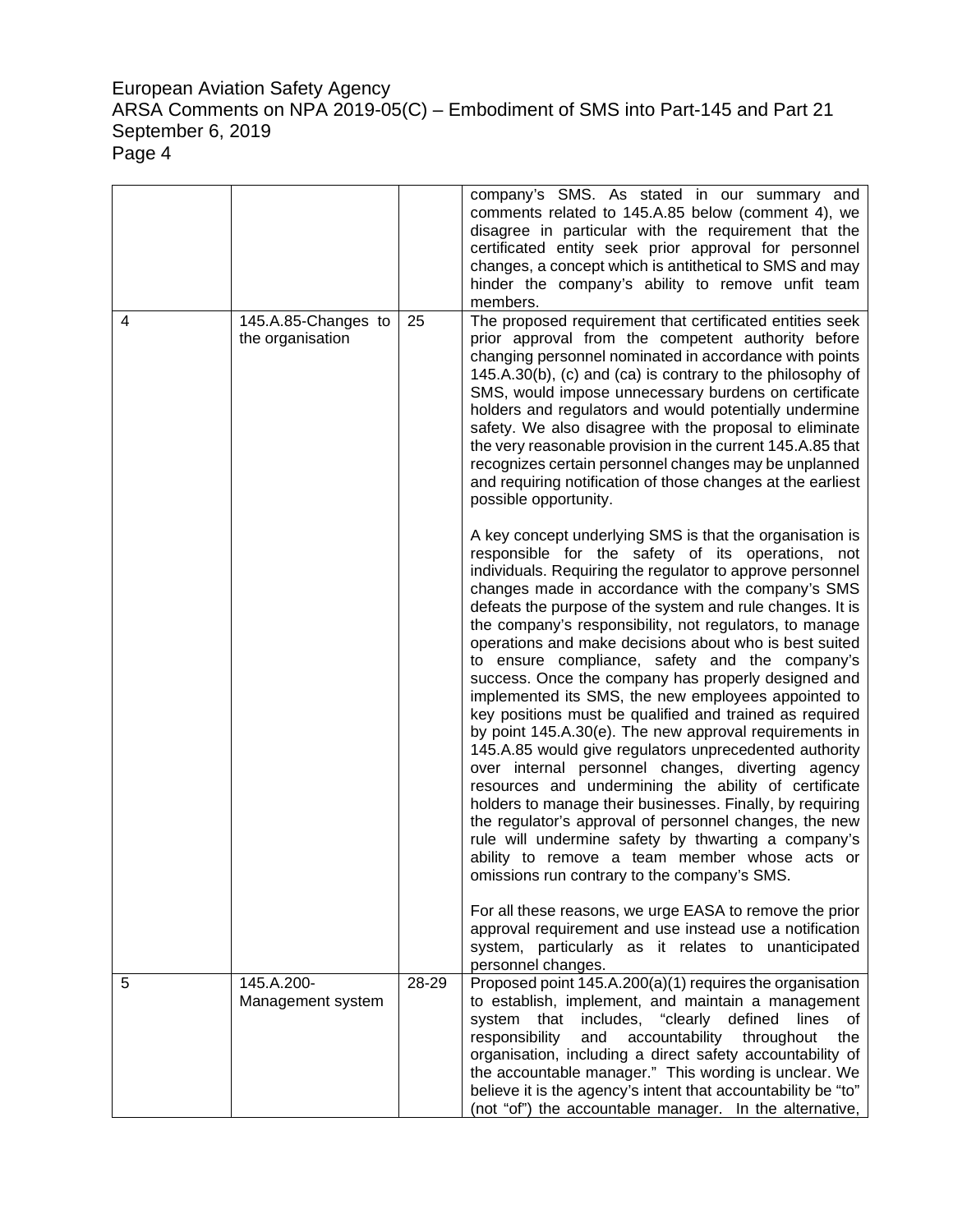|   |                                         |       | company's SMS. As stated in our summary and<br>comments related to 145.A.85 below (comment 4), we<br>disagree in particular with the requirement that the<br>certificated entity seek prior approval for personnel<br>changes, a concept which is antithetical to SMS and may<br>hinder the company's ability to remove unfit team<br>members.                                                                                                                                                                                                                                                                                                                                                                                                                                                                                                                                                                                                                                                                                                                                                                                                               |
|---|-----------------------------------------|-------|--------------------------------------------------------------------------------------------------------------------------------------------------------------------------------------------------------------------------------------------------------------------------------------------------------------------------------------------------------------------------------------------------------------------------------------------------------------------------------------------------------------------------------------------------------------------------------------------------------------------------------------------------------------------------------------------------------------------------------------------------------------------------------------------------------------------------------------------------------------------------------------------------------------------------------------------------------------------------------------------------------------------------------------------------------------------------------------------------------------------------------------------------------------|
| 4 | 145.A.85-Changes to<br>the organisation | 25    | The proposed requirement that certificated entities seek<br>prior approval from the competent authority before<br>changing personnel nominated in accordance with points<br>145.A.30(b), (c) and (ca) is contrary to the philosophy of<br>SMS, would impose unnecessary burdens on certificate<br>holders and regulators and would potentially undermine<br>safety. We also disagree with the proposal to eliminate<br>the very reasonable provision in the current 145.A.85 that<br>recognizes certain personnel changes may be unplanned<br>and requiring notification of those changes at the earliest<br>possible opportunity.                                                                                                                                                                                                                                                                                                                                                                                                                                                                                                                           |
|   |                                         |       | A key concept underlying SMS is that the organisation is<br>responsible for the safety of its operations, not<br>individuals. Requiring the regulator to approve personnel<br>changes made in accordance with the company's SMS<br>defeats the purpose of the system and rule changes. It is<br>the company's responsibility, not regulators, to manage<br>operations and make decisions about who is best suited<br>to ensure compliance, safety and the company's<br>success. Once the company has properly designed and<br>implemented its SMS, the new employees appointed to<br>key positions must be qualified and trained as required<br>by point 145.A.30(e). The new approval requirements in<br>145.A.85 would give regulators unprecedented authority<br>over internal personnel changes, diverting agency<br>resources and undermining the ability of certificate<br>holders to manage their businesses. Finally, by requiring<br>the regulator's approval of personnel changes, the new<br>rule will undermine safety by thwarting a company's<br>ability to remove a team member whose acts or<br>omissions run contrary to the company's SMS. |
|   |                                         |       | For all these reasons, we urge EASA to remove the prior<br>approval requirement and use instead use a notification<br>system, particularly as it relates to unanticipated<br>personnel changes.                                                                                                                                                                                                                                                                                                                                                                                                                                                                                                                                                                                                                                                                                                                                                                                                                                                                                                                                                              |
| 5 | 145.A.200-<br>Management system         | 28-29 | Proposed point 145.A.200(a)(1) requires the organisation<br>to establish, implement, and maintain a management<br>includes,<br>"clearly<br>defined<br>lines<br>of<br>system<br>that<br>responsibility<br>accountability<br>throughout<br>the<br>and<br>organisation, including a direct safety accountability of<br>the accountable manager." This wording is unclear. We<br>believe it is the agency's intent that accountability be "to"<br>(not "of") the accountable manager. In the alternative,                                                                                                                                                                                                                                                                                                                                                                                                                                                                                                                                                                                                                                                        |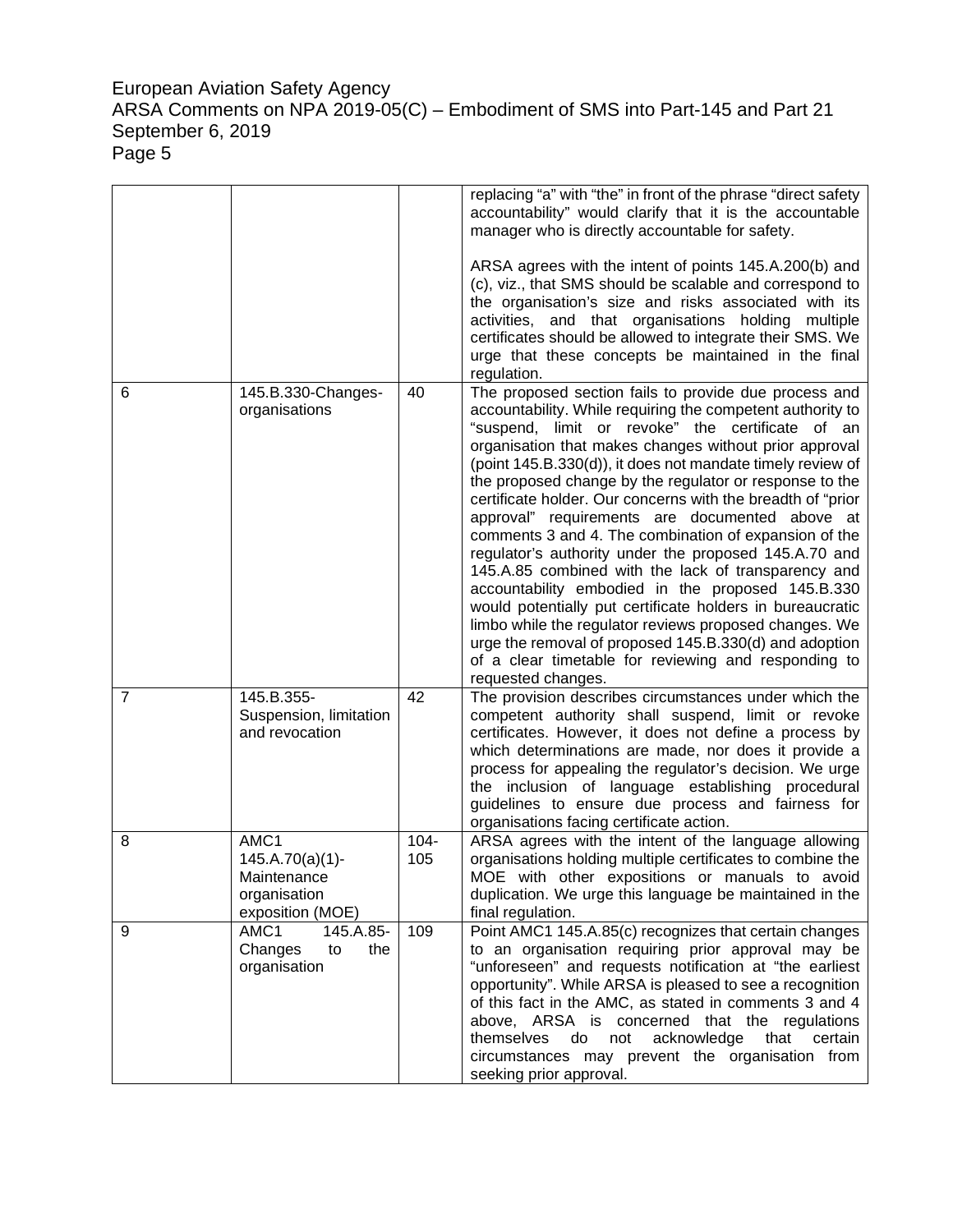|                |                                                                               |                | replacing "a" with "the" in front of the phrase "direct safety<br>accountability" would clarify that it is the accountable<br>manager who is directly accountable for safety.                                                                                                                                                                                                                                                                                                                                                                                                                                                                                                                                                                                                                                                                                                                                                                                             |
|----------------|-------------------------------------------------------------------------------|----------------|---------------------------------------------------------------------------------------------------------------------------------------------------------------------------------------------------------------------------------------------------------------------------------------------------------------------------------------------------------------------------------------------------------------------------------------------------------------------------------------------------------------------------------------------------------------------------------------------------------------------------------------------------------------------------------------------------------------------------------------------------------------------------------------------------------------------------------------------------------------------------------------------------------------------------------------------------------------------------|
|                |                                                                               |                | ARSA agrees with the intent of points 145.A.200(b) and<br>(c), viz., that SMS should be scalable and correspond to<br>the organisation's size and risks associated with its<br>activities, and that organisations holding multiple<br>certificates should be allowed to integrate their SMS. We<br>urge that these concepts be maintained in the final<br>regulation.                                                                                                                                                                                                                                                                                                                                                                                                                                                                                                                                                                                                     |
| 6              | 145.B.330-Changes-<br>organisations                                           | 40             | The proposed section fails to provide due process and<br>accountability. While requiring the competent authority to<br>"suspend, limit or revoke" the certificate of an<br>organisation that makes changes without prior approval<br>(point 145.B.330(d)), it does not mandate timely review of<br>the proposed change by the regulator or response to the<br>certificate holder. Our concerns with the breadth of "prior"<br>approval" requirements are documented above at<br>comments 3 and 4. The combination of expansion of the<br>regulator's authority under the proposed 145.A.70 and<br>145.A.85 combined with the lack of transparency and<br>accountability embodied in the proposed 145.B.330<br>would potentially put certificate holders in bureaucratic<br>limbo while the regulator reviews proposed changes. We<br>urge the removal of proposed 145.B.330(d) and adoption<br>of a clear timetable for reviewing and responding to<br>requested changes. |
| $\overline{7}$ | 145.B.355-<br>Suspension, limitation<br>and revocation                        | 42             | The provision describes circumstances under which the<br>competent authority shall suspend, limit or revoke<br>certificates. However, it does not define a process by<br>which determinations are made, nor does it provide a<br>process for appealing the regulator's decision. We urge<br>the inclusion of language establishing procedural<br>guidelines to ensure due process and fairness for<br>organisations facing certificate action.                                                                                                                                                                                                                                                                                                                                                                                                                                                                                                                            |
| 8              | AMC1<br>$145.A.70(a)(1)$ -<br>Maintenance<br>organisation<br>exposition (MOE) | $104 -$<br>105 | ARSA agrees with the intent of the language allowing<br>organisations holding multiple certificates to combine the<br>MOE with other expositions or manuals to avoid<br>duplication. We urge this language be maintained in the<br>final regulation.                                                                                                                                                                                                                                                                                                                                                                                                                                                                                                                                                                                                                                                                                                                      |
| 9              | AMC1<br>145.A.85-<br>Changes<br>the<br>to<br>organisation                     | 109            | Point AMC1 145.A.85(c) recognizes that certain changes<br>to an organisation requiring prior approval may be<br>"unforeseen" and requests notification at "the earliest<br>opportunity". While ARSA is pleased to see a recognition<br>of this fact in the AMC, as stated in comments 3 and 4<br>above, ARSA is concerned that the regulations<br>not<br>acknowledge<br>themselves<br>do<br>that<br>certain<br>circumstances may prevent the organisation from<br>seeking prior approval.                                                                                                                                                                                                                                                                                                                                                                                                                                                                                 |